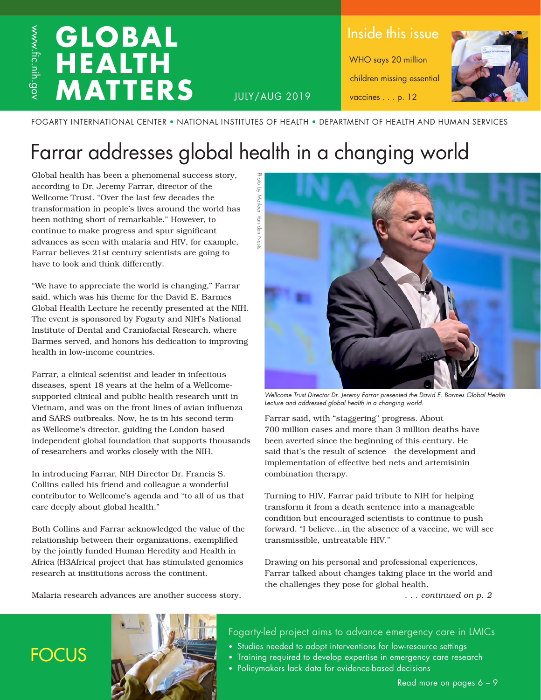### **GLOBAL**  www.fic.nih.gov www.fic.nih.gov **HEALTH MATTERS**

Inside this issue

WHO says 20 million children missing essential vaccines . . . p. 12



JULY/AUG 2019

FOGARTY INTERNATIONAL CENTER • NATIONAL INSTITUTES OF HEALTH • DEPARTMENT OF HEALTH AND HUMAN SERVICES

## Farrar addresses global health in a changing world

√q d

l Van den

Global health has been a phenomenal success story, according to Dr. Jeremy Farrar, director of the Wellcome Trust. "Over the last few decades the transformation in people's lives around the world has been nothing short of remarkable." However, to continue to make progress and spur significant advances as seen with malaria and HIV, for example, Farrar believes 21st century scientists are going to have to look and think differently.

"We have to appreciate the world is changing," Farrar said, which was his theme for the David E. Barmes Global Health Lecture he recently presented at the NIH. The event is sponsored by Fogarty and NIH's National Institute of Dental and Craniofacial Research, where Barmes served, and honors his dedication to improving health in low-income countries.

Farrar, a clinical scientist and leader in infectious diseases, spent 18 years at the helm of a Wellcomesupported clinical and public health research unit in Vietnam, and was on the front lines of avian influenza and SARS outbreaks. Now, he is in his second term as Wellcome's director, guiding the London-based independent global foundation that supports thousands of researchers and works closely with the NIH.

In introducing Farrar, NIH Director Dr. Francis S. Collins called his friend and colleague a wonderful contributor to Wellcome's agenda and "to all of us that care deeply about global health."

Both Collins and Farrar acknowledged the value of the relationship between their organizations, exemplified by the jointly funded Human Heredity and Health in Africa (H3Africa) project that has stimulated genomics research at institutions across the continent.

Malaria research advances are another success story,



*Wellcome Trust Director Dr. Jeremy Farrar presented the David E. Barmes Global Health Lecture and addressed global health in a changing world.*

Farrar said, with "staggering" progress. About 700 million cases and more than 3 million deaths have been averted since the beginning of this century. He said that's the result of science—the development and implementation of effective bed nets and artemisinin combination therapy.

Turning to HIV, Farrar paid tribute to NIH for helping transform it from a death sentence into a manageable condition but encouraged scientists to continue to push forward. "I believe…in the absence of a vaccine, we will see transmissible, untreatable HIV."

Drawing on his personal and professional experiences, Farrar talked about changes taking place in the world and the challenges they pose for global health.

*. . . continued on p. 2*

### **FOCUS**



Fogarty-led project aims to advance emergency care in LMICs

- Studies needed to adopt interventions for low-resource settings
- Training required to develop expertise in emergency care research
- Policymakers lack data for evidence-based decisions

Read more on pages 6 – 9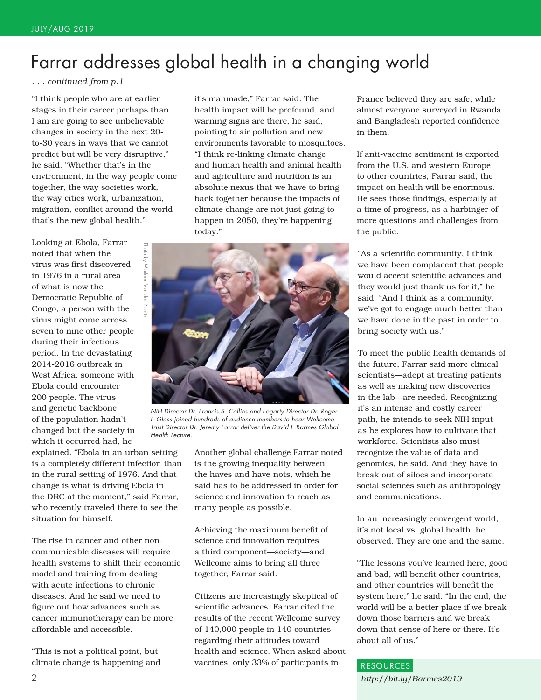### Farrar addresses global health in a changing world

*. . . continued from p.1*

"I think people who are at earlier stages in their career perhaps than I am are going to see unbelievable changes in society in the next 20 to-30 years in ways that we cannot predict but will be very disruptive," he said. "Whether that's in the environment, in the way people come together, the way societies work, the way cities work, urbanization, migration, conflict around the world that's the new global health."

Looking at Ebola, Farrar noted that when the virus was first discovered in 1976 in a rural area of what is now the Democratic Republic of Congo, a person with the virus might come across seven to nine other people during their infectious period. In the devastating 2014-2016 outbreak in West Africa, someone with Ebola could encounter 200 people. The virus and genetic backbone of the population hadn't changed but the society in which it occurred had, he

explained. "Ebola in an urban setting is a completely different infection than in the rural setting of 1976. And that change is what is driving Ebola in the DRC at the moment," said Farrar, who recently traveled there to see the situation for himself.

The rise in cancer and other noncommunicable diseases will require health systems to shift their economic model and training from dealing with acute infections to chronic diseases. And he said we need to figure out how advances such as cancer immunotherapy can be more affordable and accessible.

"This is not a political point, but climate change is happening and it's manmade," Farrar said. The health impact will be profound, and warning signs are there, he said, pointing to air pollution and new environments favorable to mosquitoes. "I think re-linking climate change and human health and animal health and agriculture and nutrition is an absolute nexus that we have to bring back together because the impacts of climate change are not just going to happen in 2050, they're happening today."



*NIH Director Dr. Francis S. Collins and Fogarty Director Dr. Roger I. Glass joined hundreds of audience members to hear Wellcome Trust Director Dr. Jeremy Farrar deliver the David E.Barmes Global Health Lecture.*

Another global challenge Farrar noted is the growing inequality between the haves and have-nots, which he said has to be addressed in order for science and innovation to reach as many people as possible.

Achieving the maximum benefit of science and innovation requires a third component—society—and Wellcome aims to bring all three together, Farrar said.

Citizens are increasingly skeptical of scientific advances. Farrar cited the results of the recent Wellcome survey of 140,000 people in 140 countries regarding their attitudes toward health and science. When asked about vaccines, only 33% of participants in

France believed they are safe, while almost everyone surveyed in Rwanda and Bangladesh reported confidence in them.

If anti-vaccine sentiment is exported from the U.S. and western Europe to other countries, Farrar said, the impact on health will be enormous. He sees those findings, especially at a time of progress, as a harbinger of more questions and challenges from the public.

"As a scientific community, I think we have been complacent that people would accept scientific advances and they would just thank us for it," he said. "And I think as a community, we've got to engage much better than we have done in the past in order to bring society with us."

To meet the public health demands of the future, Farrar said more clinical scientists—adept at treating patients as well as making new discoveries in the lab—are needed. Recognizing it's an intense and costly career path, he intends to seek NIH input as he explores how to cultivate that workforce. Scientists also must recognize the value of data and genomics, he said. And they have to break out of siloes and incorporate social sciences such as anthropology and communications.

In an increasingly convergent world, it's not local vs. global health, he observed. They are one and the same.

"The lessons you've learned here, good and bad, will benefit other countries, and other countries will benefit the system here," he said. "In the end, the world will be a better place if we break down those barriers and we break down that sense of here or there. It's about all of us."

#### RESOURCES

*http://bit.ly/Barmes2019*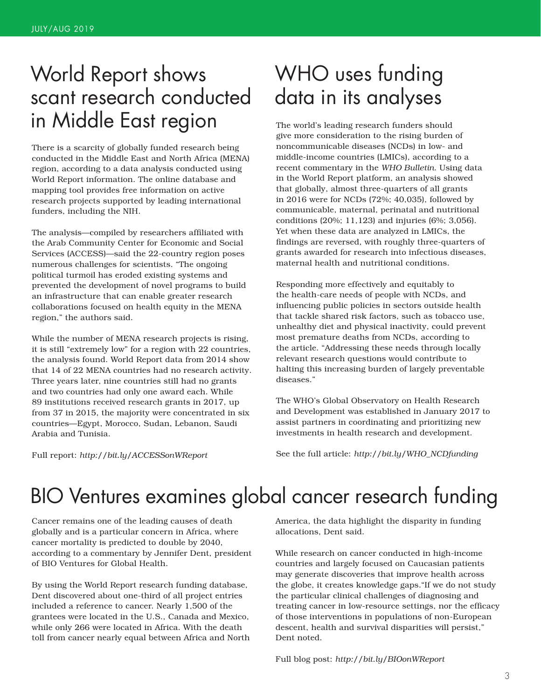### World Report shows scant research conducted in Middle East region

There is a scarcity of globally funded research being conducted in the Middle East and North Africa (MENA) region, according to a data analysis conducted using World Report information. The online database and mapping tool provides free information on active research projects supported by leading international funders, including the NIH.

The analysis—compiled by researchers affiliated with the Arab Community Center for Economic and Social Services (ACCESS)—said the 22-country region poses numerous challenges for scientists. "The ongoing political turmoil has eroded existing systems and prevented the development of novel programs to build an infrastructure that can enable greater research collaborations focused on health equity in the MENA region," the authors said.

While the number of MENA research projects is rising, it is still "extremely low" for a region with 22 countries, the analysis found. World Report data from 2014 show that 14 of 22 MENA countries had no research activity. Three years later, nine countries still had no grants and two countries had only one award each. While 89 institutions received research grants in 2017, up from 37 in 2015, the majority were concentrated in six countries—Egypt, Morocco, Sudan, Lebanon, Saudi Arabia and Tunisia.

Full report: *http://bit.ly/ACCESSonWReport*

### WHO uses funding data in its analyses

The world's leading research funders should give more consideration to the rising burden of noncommunicable diseases (NCDs) in low- and middle-income countries (LMICs), according to a recent commentary in the *WHO Bulletin*. Using data in the World Report platform, an analysis showed that globally, almost three-quarters of all grants in 2016 were for NCDs (72%; 40,035), followed by communicable, maternal, perinatal and nutritional conditions (20%; 11,123) and injuries (6%; 3,056). Yet when these data are analyzed in LMICs, the findings are reversed, with roughly three-quarters of grants awarded for research into infectious diseases, maternal health and nutritional conditions.

Responding more effectively and equitably to the health-care needs of people with NCDs, and influencing public policies in sectors outside health that tackle shared risk factors, such as tobacco use, unhealthy diet and physical inactivity, could prevent most premature deaths from NCDs, according to the article. "Addressing these needs through locally relevant research questions would contribute to halting this increasing burden of largely preventable diseases."

The WHO's Global Observatory on Health Research and Development was established in January 2017 to assist partners in coordinating and prioritizing new investments in health research and development.

See the full article: *http://bit.ly/WHO\_NCDfunding*

### BIO Ventures examines global cancer research funding

Cancer remains one of the leading causes of death globally and is a particular concern in Africa, where cancer mortality is predicted to double by 2040, according to a commentary by Jennifer Dent, president of BIO Ventures for Global Health.

By using the World Report research funding database, Dent discovered about one-third of all project entries included a reference to cancer. Nearly 1,500 of the grantees were located in the U.S., Canada and Mexico, while only 266 were located in Africa. With the death toll from cancer nearly equal between Africa and North America, the data highlight the disparity in funding allocations, Dent said.

While research on cancer conducted in high-income countries and largely focused on Caucasian patients may generate discoveries that improve health across the globe, it creates knowledge gaps."If we do not study the particular clinical challenges of diagnosing and treating cancer in low-resource settings, nor the efficacy of those interventions in populations of non-European descent, health and survival disparities will persist," Dent noted.

Full blog post: *http://bit.ly/BIOonWReport*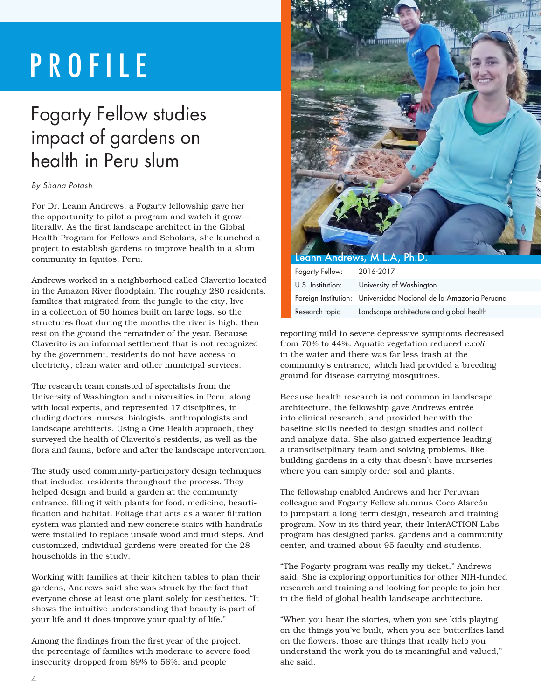## PROFILE

### Fogarty Fellow studies impact of gardens on health in Peru slum

#### *By Shana Potash*

For Dr. Leann Andrews, a Fogarty fellowship gave her the opportunity to pilot a program and watch it grow literally. As the first landscape architect in the Global Health Program for Fellows and Scholars, she launched a project to establish gardens to improve health in a slum community in Iquitos, Peru.

Andrews worked in a neighborhood called Claverito located in the Amazon River floodplain. The roughly 280 residents, families that migrated from the jungle to the city, live in a collection of 50 homes built on large logs, so the structures float during the months the river is high, then rest on the ground the remainder of the year. Because Claverito is an informal settlement that is not recognized by the government, residents do not have access to electricity, clean water and other municipal services.

The research team consisted of specialists from the University of Washington and universities in Peru, along with local experts, and represented 17 disciplines, including doctors, nurses, biologists, anthropologists and landscape architects. Using a One Health approach, they surveyed the health of Claverito's residents, as well as the flora and fauna, before and after the landscape intervention.

The study used community-participatory design techniques that included residents throughout the process. They helped design and build a garden at the community entrance, filling it with plants for food, medicine, beautification and habitat. Foliage that acts as a water filtration system was planted and new concrete stairs with handrails were installed to replace unsafe wood and mud steps. And customized, individual gardens were created for the 28 households in the study.

Working with families at their kitchen tables to plan their gardens, Andrews said she was struck by the fact that everyone chose at least one plant solely for aesthetics. "It shows the intuitive understanding that beauty is part of your life and it does improve your quality of life."

Among the findings from the first year of the project, the percentage of families with moderate to severe food insecurity dropped from 89% to 56%, and people



| Fogarty Fellow:   | 2016-2017                                                        |
|-------------------|------------------------------------------------------------------|
| U.S. Institution: | University of Washington                                         |
|                   | Foreign Institution: Universidad Nacional de la Amazonia Peruana |
| Research topic:   | Landscape architecture and global health                         |

reporting mild to severe depressive symptoms decreased from 70% to 44%. Aquatic vegetation reduced *e.coli*  in the water and there was far less trash at the community's entrance, which had provided a breeding ground for disease-carrying mosquitoes.

Because health research is not common in landscape architecture, the fellowship gave Andrews entrée into clinical research, and provided her with the baseline skills needed to design studies and collect and analyze data. She also gained experience leading a transdisciplinary team and solving problems, like building gardens in a city that doesn't have nurseries where you can simply order soil and plants.

The fellowship enabled Andrews and her Peruvian colleague and Fogarty Fellow alumnus Coco Alarcón to jumpstart a long-term design, research and training program. Now in its third year, their InterACTION Labs program has designed parks, gardens and a community center, and trained about 95 faculty and students.

"The Fogarty program was really my ticket," Andrews said. She is exploring opportunities for other NIH-funded research and training and looking for people to join her in the field of global health landscape architecture.

"When you hear the stories, when you see kids playing on the things you've built, when you see butterflies land on the flowers, those are things that really help you understand the work you do is meaningful and valued," she said.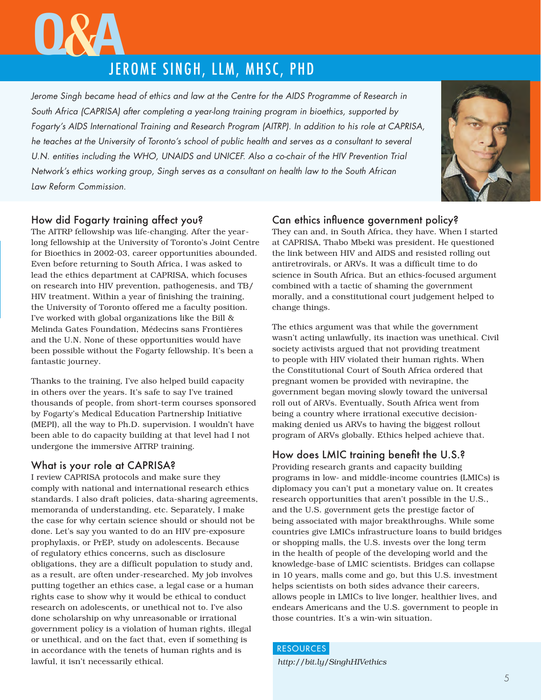# JEROME SINGH, LLM, MHSC, PHD **<sup>Q</sup>**&**<sup>A</sup>**

Jerome Singh became head of ethics and law at the Centre for the AIDS Programme of Research in *South Africa (CAPRISA) after completing a year-long training program in bioethics, supported by Fogarty's AIDS International Training and Research Program (AITRP). In addition to his role at CAPRISA, he teaches at the University of Toronto's school of public health and serves as a consultant to several*  U.N. entities including the WHO, UNAIDS and UNICEF. Also a co-chair of the HIV Prevention Trial *Network's ethics working group, Singh serves as a consultant on health law to the South African Law Reform Commission.* 



#### How did Fogarty training affect you?

The AITRP fellowship was life-changing. After the yearlong fellowship at the University of Toronto's Joint Centre for Bioethics in 2002-03, career opportunities abounded. Even before returning to South Africa, I was asked to lead the ethics department at CAPRISA, which focuses on research into HIV prevention, pathogenesis, and TB/ HIV treatment. Within a year of finishing the training, the University of Toronto offered me a faculty position. I've worked with global organizations like the Bill & Melinda Gates Foundation, Médecins sans Frontières and the U.N. None of these opportunities would have been possible without the Fogarty fellowship. It's been a fantastic journey.

Thanks to the training, I've also helped build capacity in others over the years. It's safe to say I've trained thousands of people, from short-term courses sponsored by Fogarty's Medical Education Partnership Initiative (MEPI), all the way to Ph.D. supervision. I wouldn't have been able to do capacity building at that level had I not undergone the immersive AITRP training.

#### What is your role at CAPRISA?

I review CAPRISA protocols and make sure they comply with national and international research ethics standards. I also draft policies, data-sharing agreements, memoranda of understanding, etc. Separately, I make the case for why certain science should or should not be done. Let's say you wanted to do an HIV pre-exposure prophylaxis, or PrEP, study on adolescents. Because of regulatory ethics concerns, such as disclosure obligations, they are a difficult population to study and, as a result, are often under-researched. My job involves putting together an ethics case, a legal case or a human rights case to show why it would be ethical to conduct research on adolescents, or unethical not to. I've also done scholarship on why unreasonable or irrational government policy is a violation of human rights, illegal or unethical, and on the fact that, even if something is in accordance with the tenets of human rights and is lawful, it isn't necessarily ethical.

#### Can ethics influence government policy?

They can and, in South Africa, they have. When I started at CAPRISA, Thabo Mbeki was president. He questioned the link between HIV and AIDS and resisted rolling out antiretrovirals, or ARVs. It was a difficult time to do science in South Africa. But an ethics-focused argument combined with a tactic of shaming the government morally, and a constitutional court judgement helped to change things.

The ethics argument was that while the government wasn't acting unlawfully, its inaction was unethical. Civil society activists argued that not providing treatment to people with HIV violated their human rights. When the Constitutional Court of South Africa ordered that pregnant women be provided with nevirapine, the government began moving slowly toward the universal roll out of ARVs. Eventually, South Africa went from being a country where irrational executive decisionmaking denied us ARVs to having the biggest rollout program of ARVs globally. Ethics helped achieve that.

#### How does LMIC training benefit the U.S.?

Providing research grants and capacity building programs in low- and middle-income countries (LMICs) is diplomacy you can't put a monetary value on. It creates research opportunities that aren't possible in the U.S., and the U.S. government gets the prestige factor of being associated with major breakthroughs. While some countries give LMICs infrastructure loans to build bridges or shopping malls, the U.S. invests over the long term in the health of people of the developing world and the knowledge-base of LMIC scientists. Bridges can collapse in 10 years, malls come and go, but this U.S. investment helps scientists on both sides advance their careers, allows people in LMICs to live longer, healthier lives, and endears Americans and the U.S. government to people in those countries. It's a win-win situation.

#### **RESOURCES**

*http://bit.ly/SinghHIVethics*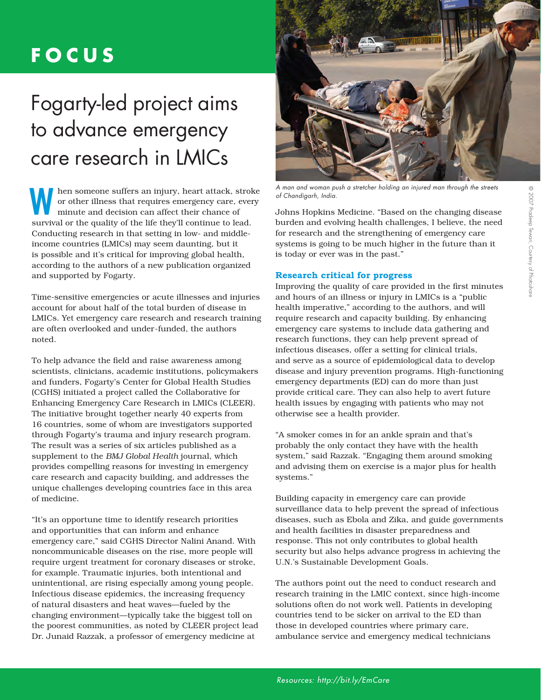### **FOCUS**

## Fogarty-led project aims to advance emergency care research in LMICs

**WE ALL SURVIVE SURVIVE SURVIVED SURVIVED SURVIVED SURVIVED SURVIVAL OF the quality of the life they'll continue to lead.**  hen someone suffers an injury, heart attack, stroke or other illness that requires emergency care, every minute and decision can affect their chance of Conducting research in that setting in low- and middleincome countries (LMICs) may seem daunting, but it is possible and it's critical for improving global health, according to the authors of a new publication organized and supported by Fogarty.

Time-sensitive emergencies or acute illnesses and injuries account for about half of the total burden of disease in LMICs. Yet emergency care research and research training are often overlooked and under-funded, the authors noted.

To help advance the field and raise awareness among scientists, clinicians, academic institutions, policymakers and funders, Fogarty's Center for Global Health Studies (CGHS) initiated a project called the Collaborative for Enhancing Emergency Care Research in LMICs (CLEER). The initiative brought together nearly 40 experts from 16 countries, some of whom are investigators supported through Fogarty's trauma and injury research program. The result was a series of six articles published as a supplement to the *BMJ Global Health* journal, which provides compelling reasons for investing in emergency care research and capacity building, and addresses the unique challenges developing countries face in this area of medicine.

"It's an opportune time to identify research priorities and opportunities that can inform and enhance emergency care," said CGHS Director Nalini Anand. With noncommunicable diseases on the rise, more people will require urgent treatment for coronary diseases or stroke, for example. Traumatic injuries, both intentional and unintentional, are rising especially among young people. Infectious disease epidemics, the increasing frequency of natural disasters and heat waves—fueled by the changing environment—typically take the biggest toll on the poorest communities, as noted by CLEER project lead Dr. Junaid Razzak, a professor of emergency medicine at



*A man and woman push a stretcher holding an injured man through the streets of Chandigarh, India.*

Johns Hopkins Medicine. "Based on the changing disease burden and evolving health challenges, I believe, the need for research and the strengthening of emergency care systems is going to be much higher in the future than it is today or ever was in the past."

#### **Research critical for progress**

Improving the quality of care provided in the first minutes and hours of an illness or injury in LMICs is a "public health imperative," according to the authors, and will require research and capacity building. By enhancing emergency care systems to include data gathering and research functions, they can help prevent spread of infectious diseases, offer a setting for clinical trials, and serve as a source of epidemiological data to develop disease and injury prevention programs. High-functioning emergency departments (ED) can do more than just provide critical care. They can also help to avert future health issues by engaging with patients who may not otherwise see a health provider.

"A smoker comes in for an ankle sprain and that's probably the only contact they have with the health system," said Razzak. "Engaging them around smoking and advising them on exercise is a major plus for health systems."

Building capacity in emergency care can provide surveillance data to help prevent the spread of infectious diseases, such as Ebola and Zika, and guide governments and health facilities in disaster preparedness and response. This not only contributes to global health security but also helps advance progress in achieving the U.N.'s Sustainable Development Goals.

The authors point out the need to conduct research and research training in the LMIC context, since high-income solutions often do not work well. Patients in developing countries tend to be sicker on arrival to the ED than those in developed countries where primary care, ambulance service and emergency medical technicians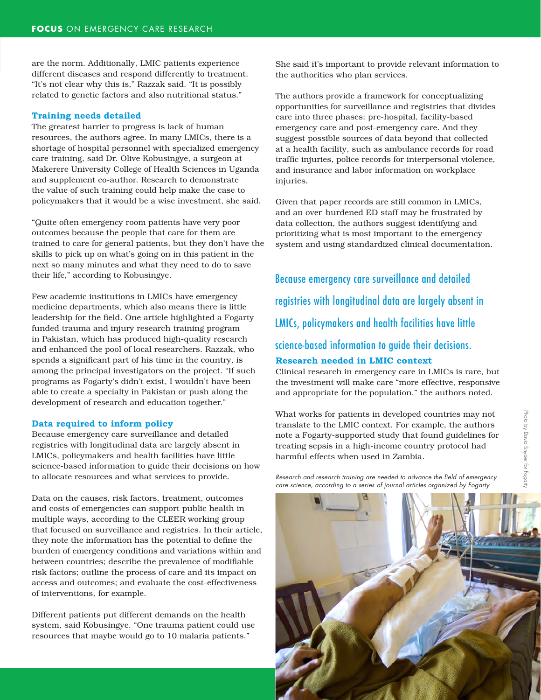are the norm. Additionally, LMIC patients experience different diseases and respond differently to treatment. "It's not clear why this is," Razzak said. "It is possibly related to genetic factors and also nutritional status."

#### **Training needs detailed**

The greatest barrier to progress is lack of human resources, the authors agree. In many LMICs, there is a shortage of hospital personnel with specialized emergency care training, said Dr. Olive Kobusingye, a surgeon at Makerere University College of Health Sciences in Uganda and supplement co-author. Research to demonstrate the value of such training could help make the case to policymakers that it would be a wise investment, she said.

"Quite often emergency room patients have very poor outcomes because the people that care for them are trained to care for general patients, but they don't have the skills to pick up on what's going on in this patient in the next so many minutes and what they need to do to save their life," according to Kobusingye.

Few academic institutions in LMICs have emergency medicine departments, which also means there is little leadership for the field. One article highlighted a Fogartyfunded trauma and injury research training program in Pakistan, which has produced high-quality research and enhanced the pool of local researchers. Razzak, who spends a significant part of his time in the country, is among the principal investigators on the project. "If such programs as Fogarty's didn't exist, I wouldn't have been able to create a specialty in Pakistan or push along the development of research and education together."

#### **Data required to inform policy**

Because emergency care surveillance and detailed registries with longitudinal data are largely absent in LMICs, policymakers and health facilities have little science-based information to guide their decisions on how to allocate resources and what services to provide.

Data on the causes, risk factors, treatment, outcomes and costs of emergencies can support public health in multiple ways, according to the CLEER working group that focused on surveillance and registries. In their article, they note the information has the potential to define the burden of emergency conditions and variations within and between countries; describe the prevalence of modifiable risk factors; outline the process of care and its impact on access and outcomes; and evaluate the cost-effectiveness of interventions, for example.

Different patients put different demands on the health system, said Kobusingye. "One trauma patient could use resources that maybe would go to 10 malaria patients."

She said it's important to provide relevant information to the authorities who plan services.

The authors provide a framework for conceptualizing opportunities for surveillance and registries that divides care into three phases: pre-hospital, facility-based emergency care and post-emergency care. And they suggest possible sources of data beyond that collected at a health facility, such as ambulance records for road traffic injuries, police records for interpersonal violence, and insurance and labor information on workplace injuries.

Given that paper records are still common in LMICs, and an over-burdened ED staff may be frustrated by data collection, the authors suggest identifying and prioritizing what is most important to the emergency system and using standardized clinical documentation.

Because emergency care surveillance and detailed registries with longitudinal data are largely absent in LMICs, policymakers and health facilities have little science-based information to guide their decisions. **Research needed in LMIC context**

Clinical research in emergency care in LMICs is rare, but the investment will make care "more effective, responsive and appropriate for the population," the authors noted.

What works for patients in developed countries may not translate to the LMIC context. For example, the authors note a Fogarty-supported study that found guidelines for treating sepsis in a high-income country protocol had harmful effects when used in Zambia.

*Research and research training are needed to advance the field of emergency care science, according to a series of journal articles organized by Fogarty.*

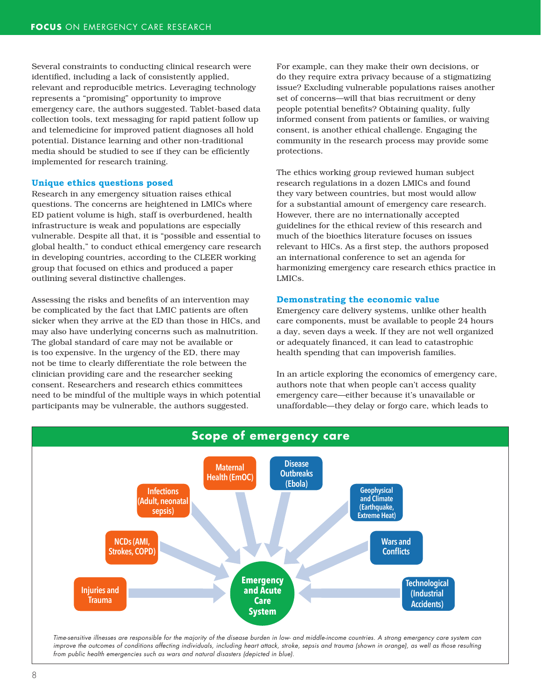Several constraints to conducting clinical research were identified, including a lack of consistently applied, relevant and reproducible metrics. Leveraging technology represents a "promising" opportunity to improve emergency care, the authors suggested. Tablet-based data collection tools, text messaging for rapid patient follow up and telemedicine for improved patient diagnoses all hold potential. Distance learning and other non-traditional media should be studied to see if they can be efficiently implemented for research training.

#### **Unique ethics questions posed**

Research in any emergency situation raises ethical questions. The concerns are heightened in LMICs where ED patient volume is high, staff is overburdened, health infrastructure is weak and populations are especially vulnerable. Despite all that, it is "possible and essential to global health," to conduct ethical emergency care research in developing countries, according to the CLEER working group that focused on ethics and produced a paper outlining several distinctive challenges.

Assessing the risks and benefits of an intervention may be complicated by the fact that LMIC patients are often sicker when they arrive at the ED than those in HICs, and may also have underlying concerns such as malnutrition. The global standard of care may not be available or is too expensive. In the urgency of the ED, there may not be time to clearly differentiate the role between the clinician providing care and the researcher seeking consent. Researchers and research ethics committees need to be mindful of the multiple ways in which potential participants may be vulnerable, the authors suggested.

For example, can they make their own decisions, or do they require extra privacy because of a stigmatizing issue? Excluding vulnerable populations raises another set of concerns—will that bias recruitment or deny people potential benefits? Obtaining quality, fully informed consent from patients or families, or waiving consent, is another ethical challenge. Engaging the community in the research process may provide some protections.

The ethics working group reviewed human subject research regulations in a dozen LMICs and found they vary between countries, but most would allow for a substantial amount of emergency care research. However, there are no internationally accepted guidelines for the ethical review of this research and much of the bioethics literature focuses on issues relevant to HICs. As a first step, the authors proposed an international conference to set an agenda for harmonizing emergency care research ethics practice in LMICs.

#### **Demonstrating the economic value**

Emergency care delivery systems, unlike other health care components, must be available to people 24 hours a day, seven days a week. If they are not well organized or adequately financed, it can lead to catastrophic health spending that can impoverish families.

In an article exploring the economics of emergency care, authors note that when people can't access quality emergency care—either because it's unavailable or unaffordable—they delay or forgo care, which leads to

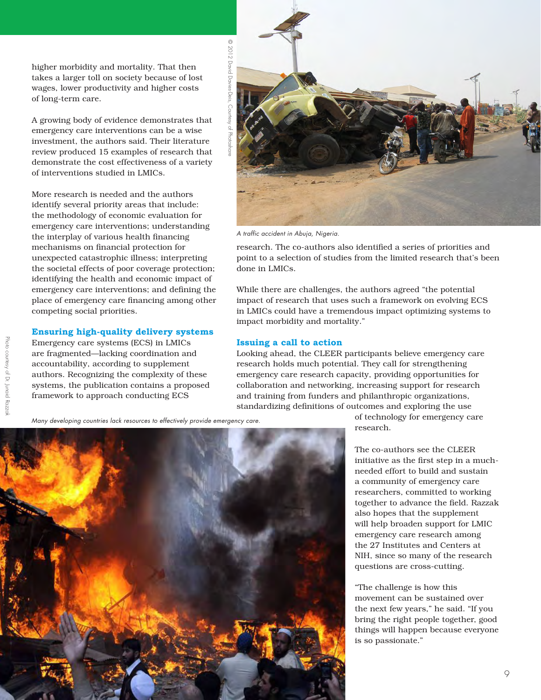higher morbidity and mortality. That then takes a larger toll on society because of lost wages, lower productivity and higher costs of long-term care.

A growing body of evidence demonstrates that emergency care interventions can be a wise investment, the authors said. Their literature review produced 15 examples of research that demonstrate the cost effectiveness of a variety of interventions studied in LMICs.

More research is needed and the authors identify several priority areas that include: the methodology of economic evaluation for emergency care interventions; understanding the interplay of various health financing mechanisms on financial protection for unexpected catastrophic illness; interpreting the societal effects of poor coverage protection; identifying the health and economic impact of emergency care interventions; and defining the place of emergency care financing among other competing social priorities.

#### **Ensuring high-quality delivery systems**

Emergency care systems (ECS) in LMICs are fragmented—lacking coordination and accountability, according to supplement authors. Recognizing the complexity of these systems, the publication contains a proposed framework to approach conducting ECS



*A traffic accident in Abuja, Nigeria.*

research. The co-authors also identified a series of priorities and point to a selection of studies from the limited research that's been done in LMICs.

While there are challenges, the authors agreed "the potential impact of research that uses such a framework on evolving ECS in LMICs could have a tremendous impact optimizing systems to impact morbidity and mortality."

#### **Issuing a call to action**

Looking ahead, the CLEER participants believe emergency care research holds much potential. They call for strengthening emergency care research capacity, providing opportunities for collaboration and networking, increasing support for research and training from funders and philanthropic organizations, standardizing definitions of outcomes and exploring the use

*Many developing countries lack resources to effectively provide emergency care.*



of technology for emergency care research.

The co-authors see the CLEER initiative as the first step in a muchneeded effort to build and sustain a community of emergency care researchers, committed to working together to advance the field. Razzak also hopes that the supplement will help broaden support for LMIC emergency care research among the 27 Institutes and Centers at NIH, since so many of the research questions are cross-cutting.

"The challenge is how this movement can be sustained over the next few years," he said. "If you bring the right people together, good things will happen because everyone is so passionate."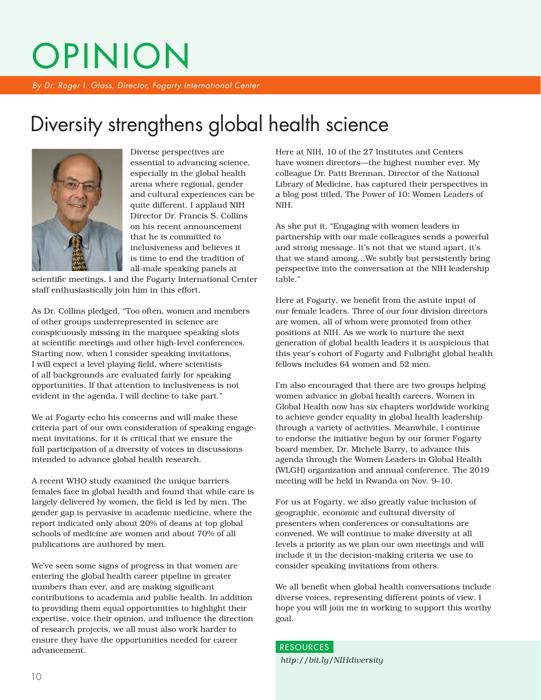# OPINION

*By Dr. Roger I. Glass, Director, Fogarty International Center*

### Diversity strengthens global health science



Diverse perspectives are essential to advancing science, especially in the global health arena where regional, gender and cultural experiences can be quite different. I applaud NIH Director Dr. Francis S. Collins on his recent announcement that he is committed to inclusiveness and believes it is time to end the tradition of all-male speaking panels at

scientific meetings. I and the Fogarty International Center staff enthusiastically join him in this effort.

As Dr. Collins pledged, "Too often, women and members of other groups underrepresented in science are conspicuously missing in the marquee speaking slots at scientific meetings and other high-level conferences. Starting now, when I consider speaking invitations, I will expect a level playing field, where scientists of all backgrounds are evaluated fairly for speaking opportunities. If that attention to inclusiveness is not evident in the agenda, I will decline to take part."

We at Fogarty echo his concerns and will make these criteria part of our own consideration of speaking engagement invitations, for it is critical that we ensure the full participation of a diversity of voices in discussions intended to advance global health research.

A recent WHO study examined the unique barriers females face in global health and found that while care is largely delivered by women, the field is led by men. The gender gap is pervasive in academic medicine, where the report indicated only about 20% of deans at top global schools of medicine are women and about 70% of all publications are authored by men.

We've seen some signs of progress in that women are entering the global health career pipeline in greater numbers than ever, and are making significant contributions to academia and public health. In addition to providing them equal opportunities to highlight their expertise, voice their opinion, and influence the direction of research projects, we all must also work harder to ensure they have the opportunities needed for career advancement.

Here at NIH, 10 of the 27 Institutes and Centers have women directors—the highest number ever. My colleague Dr. Patti Brennan, Director of the National Library of Medicine, has captured their perspectives in a blog post titled, The Power of 10: Women Leaders of NIH.

As she put it, "Engaging with women leaders in partnership with our male colleagues sends a powerful and strong message. It's not that we stand apart, it's that we stand among…We subtly but persistently bring perspective into the conversation at the NIH leadership table."

Here at Fogarty, we benefit from the astute input of our female leaders. Three of our four division directors are women, all of whom were promoted from other positions at NIH. As we work to nurture the next generation of global health leaders it is auspicious that this year's cohort of Fogarty and Fulbright global health fellows includes 64 women and 52 men.

I'm also encouraged that there are two groups helping women advance in global health careers. Women in Global Health now has six chapters worldwide working to achieve gender equality in global health leadership through a variety of activities. Meanwhile, I continue to endorse the initiative begun by our former Fogarty board member, Dr. Michele Barry, to advance this agenda through the Women Leaders in Global Health (WLGH) organization and annual conference. The 2019 meeting will be held in Rwanda on Nov. 9–10.

For us at Fogarty, we also greatly value inclusion of geographic, economic and cultural diversity of presenters when conferences or consultations are convened. We will continue to make diversity at all levels a priority as we plan our own meetings and will include it in the decision-making criteria we use to consider speaking invitations from others.

We all benefit when global health conversations include diverse voices, representing different points of view. I hope you will join me in working to support this worthy goal.

*http://bit.ly/NIHdiversity*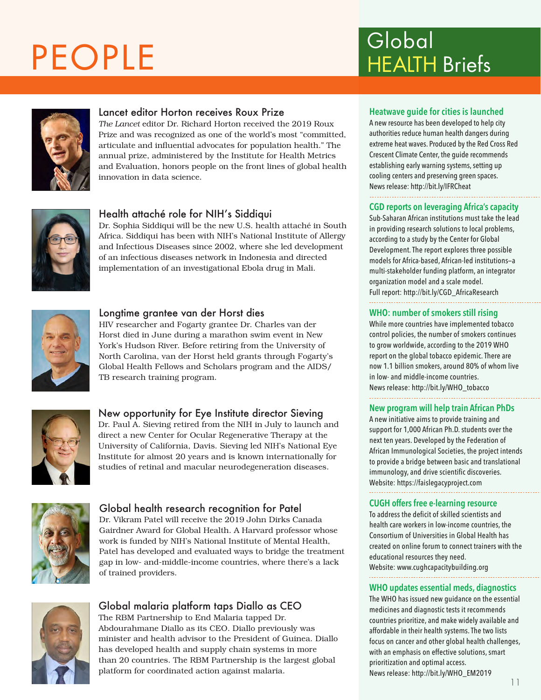## PEOPLE



#### Lancet editor Horton receives Roux Prize

*The Lancet* editor Dr. Richard Horton received the 2019 Roux Prize and was recognized as one of the world's most "committed, articulate and influential advocates for population health." The annual prize, administered by the Institute for Health Metrics and Evaluation, honors people on the front lines of global health innovation in data science.



#### Health attaché role for NIH's Siddiqui

Dr. Sophia Siddiqui will be the new U.S. health attaché in South Africa. Siddiqui has been with NIH's National Institute of Allergy and Infectious Diseases since 2002, where she led development of an infectious diseases network in Indonesia and directed implementation of an investigational Ebola drug in Mali.



#### Longtime grantee van der Horst dies

HIV researcher and Fogarty grantee Dr. Charles van der Horst died in June during a marathon swim event in New York's Hudson River. Before retiring from the University of North Carolina, van der Horst held grants through Fogarty's Global Health Fellows and Scholars program and the AIDS/ TB research training program.



#### New opportunity for Eye Institute director Sieving

Dr. Paul A. Sieving retired from the NIH in July to launch and direct a new Center for Ocular Regenerative Therapy at the University of California, Davis. Sieving led NIH's National Eye Institute for almost 20 years and is known internationally for studies of retinal and macular neurodegeneration diseases.



#### Global health research recognition for Patel

Dr. Vikram Patel will receive the 2019 John Dirks Canada Gairdner Award for Global Health. A Harvard professor whose work is funded by NIH's National Institute of Mental Health, Patel has developed and evaluated ways to bridge the treatment gap in low- and-middle-income countries, where there's a lack of trained providers.



#### Global malaria platform taps Diallo as CEO

The RBM Partnership to End Malaria tapped Dr. Abdourahmane Diallo as its CEO. Diallo previously was minister and health advisor to the President of Guinea. Diallo has developed health and supply chain systems in more than 20 countries. The RBM Partnership is the largest global platform for coordinated action against malaria.

### HEALTH Briefs Global

#### **Heatwave guide for cities is launched**

A new resource has been developed to help city authorities reduce human health dangers during extreme heat waves. Produced by the Red Cross Red Crescent Climate Center, the guide recommends establishing early warning systems, setting up cooling centers and preserving green spaces. News release: http://bit.ly/IFRCheat

#### **CGD reports on leveraging Africa's capacity**

Sub-Saharan African institutions must take the lead in providing research solutions to local problems, according to a study by the Center for Global Development. The report explores three possible models for Africa-based, African-led institutions—a multi-stakeholder funding platform, an integrator organization model and a scale model.

Full report: http://bit.ly/CGD\_AfricaResearch

#### **WHO: number of smokers still rising**

While more countries have implemented tobacco control policies, the number of smokers continues to grow worldwide, according to the 2019 WHO report on the global tobacco epidemic. There are now 1.1 billion smokers, around 80% of whom live in low- and middle-income countries. News release: http://bit.ly/WHO\_tobacco

#### **New program will help train African PhDs**

A new initiative aims to provide training and support for 1,000 African Ph.D. students over the next ten years. Developed by the Federation of African Immunological Societies, the project intends to provide a bridge between basic and translational immunology, and drive scientific discoveries. Website: https://faislegacyproject.com

#### **CUGH offers free e-learning resource**

To address the deficit of skilled scientists and health care workers in low-income countries, the Consortium of Universities in Global Health has created on online forum to connect trainers with the educational resources they need.

Website: www.cughcapacitybuilding.org

#### **WHO updates essential meds, diagnostics**

The WHO has issued new guidance on the essential medicines and diagnostic tests it recommends countries prioritize, and make widely available and affordable in their health systems. The two lists focus on cancer and other global health challenges, with an emphasis on effective solutions, smart prioritization and optimal access. News release: http://bit.ly/WHO\_EM2019